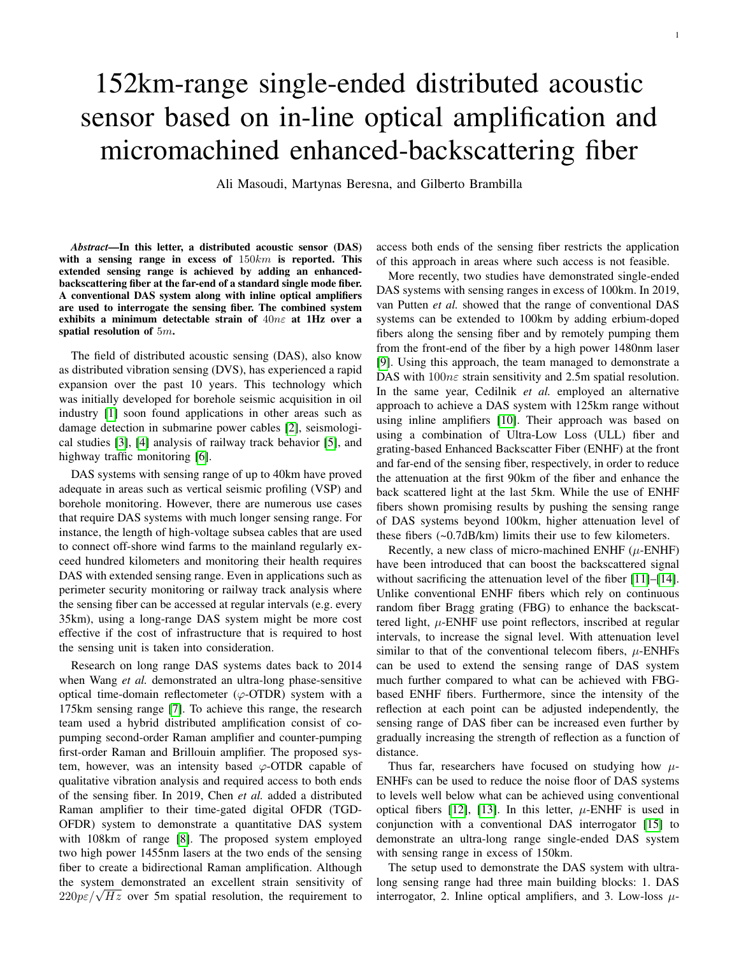# 152km-range single-ended distributed acoustic sensor based on in-line optical amplification and micromachined enhanced-backscattering fiber

Ali Masoudi, Martynas Beresna, and Gilberto Brambilla

*Abstract*—In this letter, a distributed acoustic sensor (DAS) with a sensing range in excess of  $150km$  is reported. This extended sensing range is achieved by adding an enhancedbackscattering fiber at the far-end of a standard single mode fiber. A conventional DAS system along with inline optical amplifiers are used to interrogate the sensing fiber. The combined system exhibits a minimum detectable strain of 40nε at 1Hz over a spatial resolution of 5m.

The field of distributed acoustic sensing (DAS), also know as distributed vibration sensing (DVS), has experienced a rapid expansion over the past 10 years. This technology which was initially developed for borehole seismic acquisition in oil industry [\[1\]](#page-3-0) soon found applications in other areas such as damage detection in submarine power cables [\[2\]](#page-3-1), seismological studies [\[3\]](#page-3-2), [\[4\]](#page-3-3) analysis of railway track behavior [\[5\]](#page-3-4), and highway traffic monitoring [\[6\]](#page-3-5).

DAS systems with sensing range of up to 40km have proved adequate in areas such as vertical seismic profiling (VSP) and borehole monitoring. However, there are numerous use cases that require DAS systems with much longer sensing range. For instance, the length of high-voltage subsea cables that are used to connect off-shore wind farms to the mainland regularly exceed hundred kilometers and monitoring their health requires DAS with extended sensing range. Even in applications such as perimeter security monitoring or railway track analysis where the sensing fiber can be accessed at regular intervals (e.g. every 35km), using a long-range DAS system might be more cost effective if the cost of infrastructure that is required to host the sensing unit is taken into consideration.

Research on long range DAS systems dates back to 2014 when Wang *et al.* demonstrated an ultra-long phase-sensitive optical time-domain reflectometer  $(\varphi$ -OTDR) system with a 175km sensing range [\[7\]](#page-3-6). To achieve this range, the research team used a hybrid distributed amplification consist of copumping second-order Raman amplifier and counter-pumping first-order Raman and Brillouin amplifier. The proposed system, however, was an intensity based  $\varphi$ -OTDR capable of qualitative vibration analysis and required access to both ends of the sensing fiber. In 2019, Chen *et al.* added a distributed Raman amplifier to their time-gated digital OFDR (TGD-OFDR) system to demonstrate a quantitative DAS system with 108km of range [\[8\]](#page-3-7). The proposed system employed two high power 1455nm lasers at the two ends of the sensing fiber to create a bidirectional Raman amplification. Although the system demonstrated an excellent strain sensitivity of the system demonstrated an excellent strain sensitivity of  $220p\varepsilon/\sqrt{Hz}$  over 5m spatial resolution, the requirement to

access both ends of the sensing fiber restricts the application of this approach in areas where such access is not feasible.

More recently, two studies have demonstrated single-ended DAS systems with sensing ranges in excess of 100km. In 2019, van Putten *et al.* showed that the range of conventional DAS systems can be extended to 100km by adding erbium-doped fibers along the sensing fiber and by remotely pumping them from the front-end of the fiber by a high power 1480nm laser [\[9\]](#page-3-8). Using this approach, the team managed to demonstrate a DAS with  $100n\varepsilon$  strain sensitivity and 2.5m spatial resolution. In the same year, Cedilnik *et al.* employed an alternative approach to achieve a DAS system with 125km range without using inline amplifiers [\[10\]](#page-3-9). Their approach was based on using a combination of Ultra-Low Loss (ULL) fiber and grating-based Enhanced Backscatter Fiber (ENHF) at the front and far-end of the sensing fiber, respectively, in order to reduce the attenuation at the first 90km of the fiber and enhance the back scattered light at the last 5km. While the use of ENHF fibers shown promising results by pushing the sensing range of DAS systems beyond 100km, higher attenuation level of these fibers (~0.7dB/km) limits their use to few kilometers.

Recently, a new class of micro-machined ENHF  $(\mu$ -ENHF) have been introduced that can boost the backscattered signal without sacrificing the attenuation level of the fiber [\[11\]](#page-3-10)–[\[14\]](#page-3-11). Unlike conventional ENHF fibers which rely on continuous random fiber Bragg grating (FBG) to enhance the backscattered light,  $\mu$ -ENHF use point reflectors, inscribed at regular intervals, to increase the signal level. With attenuation level similar to that of the conventional telecom fibers,  $\mu$ -ENHFs can be used to extend the sensing range of DAS system much further compared to what can be achieved with FBGbased ENHF fibers. Furthermore, since the intensity of the reflection at each point can be adjusted independently, the sensing range of DAS fiber can be increased even further by gradually increasing the strength of reflection as a function of distance.

Thus far, researchers have focused on studying how  $\mu$ -ENHFs can be used to reduce the noise floor of DAS systems to levels well below what can be achieved using conventional optical fibers [\[12\]](#page-3-12), [\[13\]](#page-3-13). In this letter,  $\mu$ -ENHF is used in conjunction with a conventional DAS interrogator [\[15\]](#page-3-14) to demonstrate an ultra-long range single-ended DAS system with sensing range in excess of 150km.

The setup used to demonstrate the DAS system with ultralong sensing range had three main building blocks: 1. DAS interrogator, 2. Inline optical amplifiers, and 3. Low-loss  $\mu$ -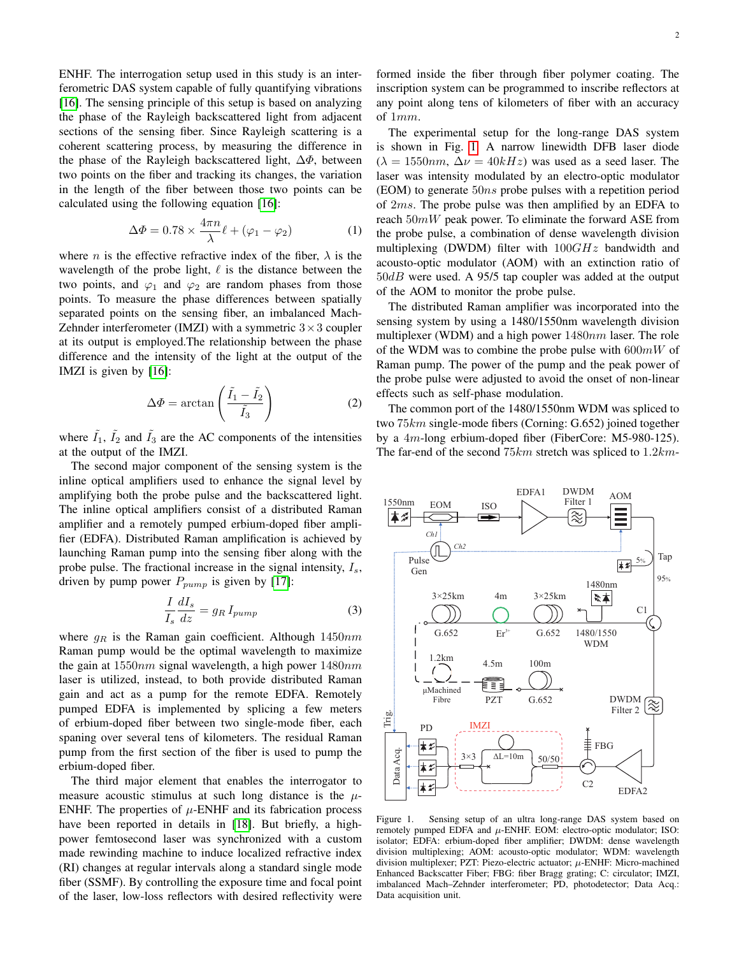ENHF. The interrogation setup used in this study is an interferometric DAS system capable of fully quantifying vibrations [\[16\]](#page-3-15). The sensing principle of this setup is based on analyzing the phase of the Rayleigh backscattered light from adjacent sections of the sensing fiber. Since Rayleigh scattering is a coherent scattering process, by measuring the difference in the phase of the Rayleigh backscattered light,  $\Delta \Phi$ , between two points on the fiber and tracking its changes, the variation in the length of the fiber between those two points can be calculated using the following equation [\[16\]](#page-3-15):

<span id="page-1-1"></span>
$$
\Delta \Phi = 0.78 \times \frac{4\pi n}{\lambda} \ell + (\varphi_1 - \varphi_2)
$$
 (1)

where *n* is the effective refractive index of the fiber,  $\lambda$  is the wavelength of the probe light,  $\ell$  is the distance between the two points, and  $\varphi_1$  and  $\varphi_2$  are random phases from those points. To measure the phase differences between spatially separated points on the sensing fiber, an imbalanced Mach-Zehnder interferometer (IMZI) with a symmetric  $3 \times 3$  coupler at its output is employed.The relationship between the phase difference and the intensity of the light at the output of the IMZI is given by [\[16\]](#page-3-15):

$$
\Delta \Phi = \arctan\left(\frac{\tilde{I}_1 - \tilde{I}_2}{\tilde{I}_3}\right) \tag{2}
$$

where  $\tilde{I}_1$ ,  $\tilde{I}_2$  and  $\tilde{I}_3$  are the AC components of the intensities at the output of the IMZI.

The second major component of the sensing system is the inline optical amplifiers used to enhance the signal level by amplifying both the probe pulse and the backscattered light. The inline optical amplifiers consist of a distributed Raman amplifier and a remotely pumped erbium-doped fiber amplifier (EDFA). Distributed Raman amplification is achieved by launching Raman pump into the sensing fiber along with the probe pulse. The fractional increase in the signal intensity,  $I_s$ , driven by pump power  $P_{pump}$  is given by [\[17\]](#page-3-16):

$$
\frac{I}{I_s} \frac{dI_s}{dz} = g_R I_{pump} \tag{3}
$$

where  $g_R$  is the Raman gain coefficient. Although  $1450nm$ Raman pump would be the optimal wavelength to maximize the gain at  $1550nm$  signal wavelength, a high power  $1480nm$ laser is utilized, instead, to both provide distributed Raman gain and act as a pump for the remote EDFA. Remotely pumped EDFA is implemented by splicing a few meters of erbium-doped fiber between two single-mode fiber, each spaning over several tens of kilometers. The residual Raman pump from the first section of the fiber is used to pump the erbium-doped fiber.

The third major element that enables the interrogator to measure acoustic stimulus at such long distance is the  $\mu$ -ENHF. The properties of  $\mu$ -ENHF and its fabrication process have been reported in details in [\[18\]](#page-3-17). But briefly, a highpower femtosecond laser was synchronized with a custom made rewinding machine to induce localized refractive index (RI) changes at regular intervals along a standard single mode fiber (SSMF). By controlling the exposure time and focal point of the laser, low-loss reflectors with desired reflectivity were formed inside the fiber through fiber polymer coating. The inscription system can be programmed to inscribe reflectors at any point along tens of kilometers of fiber with an accuracy of 1mm.

The experimental setup for the long-range DAS system is shown in Fig. [1.](#page-1-0) A narrow linewidth DFB laser diode  $(\lambda = 1550nm, \Delta \nu = 40kHz)$  was used as a seed laser. The laser was intensity modulated by an electro-optic modulator (EOM) to generate  $50ns$  probe pulses with a repetition period of 2ms. The probe pulse was then amplified by an EDFA to reach  $50mW$  peak power. To eliminate the forward ASE from the probe pulse, a combination of dense wavelength division multiplexing (DWDM) filter with  $100GHz$  bandwidth and acousto-optic modulator (AOM) with an extinction ratio of  $50dB$  were used. A 95/5 tap coupler was added at the output of the AOM to monitor the probe pulse.

The distributed Raman amplifier was incorporated into the sensing system by using a 1480/1550nm wavelength division multiplexer (WDM) and a high power  $1480nm$  laser. The role of the WDM was to combine the probe pulse with  $600mW$  of Raman pump. The power of the pump and the peak power of the probe pulse were adjusted to avoid the onset of non-linear effects such as self-phase modulation.

The common port of the 1480/1550nm WDM was spliced to two 75km single-mode fibers (Corning: G.652) joined together by a 4m-long erbium-doped fiber (FiberCore: M5-980-125). The far-end of the second  $75km$  stretch was spliced to  $1.2km$ -



<span id="page-1-0"></span>Figure 1. Sensing setup of an ultra long-range DAS system based on remotely pumped EDFA and  $\mu$ -ENHF. EOM: electro-optic modulator; ISO: isolator; EDFA: erbium-doped fiber amplifier; DWDM: dense wavelength division multiplexing; AOM: acousto-optic modulator; WDM: wavelength division multiplexer; PZT: Piezo-electric actuator;  $\mu$ -ENHF: Micro-machined Enhanced Backscatter Fiber; FBG: fiber Bragg grating; C: circulator; IMZI, imbalanced Mach–Zehnder interferometer; PD, photodetector; Data Acq.: Data acquisition unit.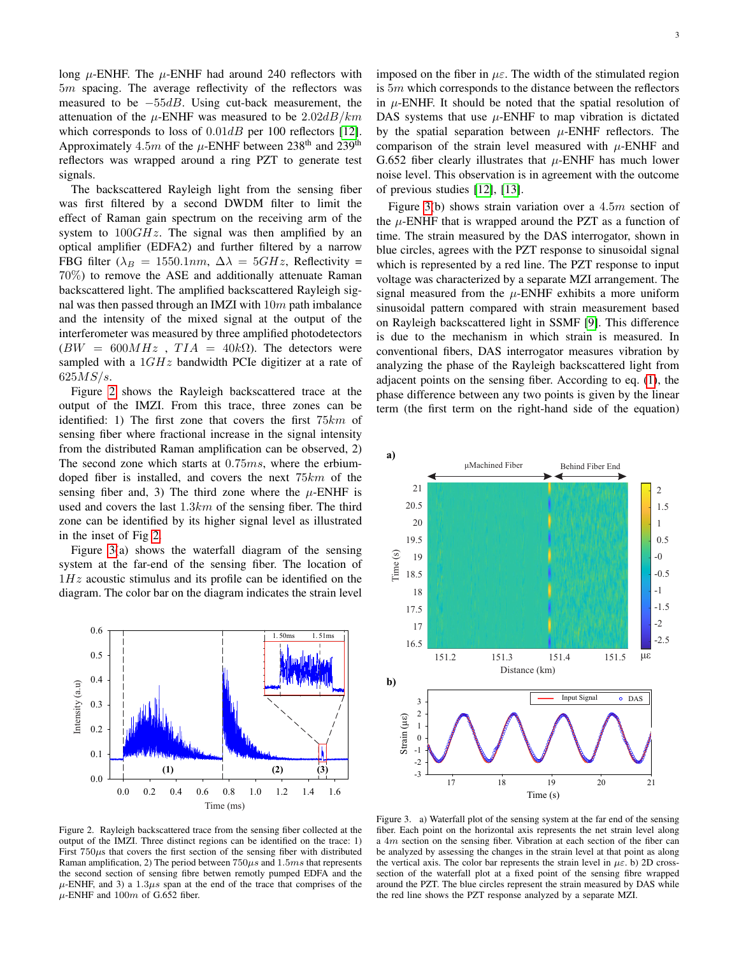long  $\mu$ -ENHF. The  $\mu$ -ENHF had around 240 reflectors with 5m spacing. The average reflectivity of the reflectors was measured to be  $-55dB$ . Using cut-back measurement, the attenuation of the  $\mu$ -ENHF was measured to be  $2.02dB/km$ which corresponds to loss of  $0.01dB$  per 100 reflectors [\[12\]](#page-3-12). Approximately 4.5m of the  $\mu$ -ENHF between 238<sup>th</sup> and 239<sup>th</sup> reflectors was wrapped around a ring PZT to generate test signals.

The backscattered Rayleigh light from the sensing fiber was first filtered by a second DWDM filter to limit the effect of Raman gain spectrum on the receiving arm of the system to  $100GHz$ . The signal was then amplified by an optical amplifier (EDFA2) and further filtered by a narrow FBG filter ( $\lambda_B = 1550.1nm$ ,  $\Delta \lambda = 5GHz$ , Reflectivity = 70%) to remove the ASE and additionally attenuate Raman backscattered light. The amplified backscattered Rayleigh signal was then passed through an IMZI with  $10m$  path imbalance and the intensity of the mixed signal at the output of the interferometer was measured by three amplified photodetectors  $(BW = 600MHz$ ,  $TIA = 40k\Omega$ ). The detectors were sampled with a  $1GHz$  bandwidth PCIe digitizer at a rate of  $625MS/s.$ 

Figure [2](#page-2-0) shows the Rayleigh backscattered trace at the output of the IMZI. From this trace, three zones can be identified: 1) The first zone that covers the first 75km of sensing fiber where fractional increase in the signal intensity from the distributed Raman amplification can be observed, 2) The second zone which starts at 0.75ms, where the erbiumdoped fiber is installed, and covers the next 75km of the sensing fiber and, 3) The third zone where the  $\mu$ -ENHF is used and covers the last  $1.3km$  of the sensing fiber. The third zone can be identified by its higher signal level as illustrated in the inset of Fig [2.](#page-2-0)

Figure [3\(](#page-2-1)a) shows the waterfall diagram of the sensing system at the far-end of the sensing fiber. The location of  $1Hz$  acoustic stimulus and its profile can be identified on the diagram. The color bar on the diagram indicates the strain level



<span id="page-2-0"></span>Figure 2. Rayleigh backscattered trace from the sensing fiber collected at the output of the IMZI. Three distinct regions can be identified on the trace: 1) First  $750\mu s$  that covers the first section of the sensing fiber with distributed Raman amplification, 2) The period between  $750\mu s$  and  $1.5ms$  that represents the second section of sensing fibre betwen remotly pumped EDFA and the  $\mu$ -ENHF, and 3) a 1.3 $\mu$ s span at the end of the trace that comprises of the  $\mu$ -ENHF and 100m of G.652 fiber.

imposed on the fiber in  $\mu \varepsilon$ . The width of the stimulated region is 5m which corresponds to the distance between the reflectors in  $\mu$ -ENHF. It should be noted that the spatial resolution of DAS systems that use  $\mu$ -ENHF to map vibration is dictated by the spatial separation between  $\mu$ -ENHF reflectors. The comparison of the strain level measured with  $\mu$ -ENHF and G.652 fiber clearly illustrates that  $\mu$ -ENHF has much lower noise level. This observation is in agreement with the outcome of previous studies [\[12\]](#page-3-12), [\[13\]](#page-3-13).

Figure [3\(](#page-2-1)b) shows strain variation over a 4.5m section of the  $\mu$ -ENHF that is wrapped around the PZT as a function of time. The strain measured by the DAS interrogator, shown in blue circles, agrees with the PZT response to sinusoidal signal which is represented by a red line. The PZT response to input voltage was characterized by a separate MZI arrangement. The signal measured from the  $\mu$ -ENHF exhibits a more uniform sinusoidal pattern compared with strain measurement based on Rayleigh backscattered light in SSMF [\[9\]](#page-3-8). This difference is due to the mechanism in which strain is measured. In conventional fibers, DAS interrogator measures vibration by analyzing the phase of the Rayleigh backscattered light from adjacent points on the sensing fiber. According to eq. [\(1\)](#page-1-1), the phase difference between any two points is given by the linear term (the first term on the right-hand side of the equation)



<span id="page-2-1"></span>Figure 3. a) Waterfall plot of the sensing system at the far end of the sensing fiber. Each point on the horizontal axis represents the net strain level along a 4m section on the sensing fiber. Vibration at each section of the fiber can be analyzed by assessing the changes in the strain level at that point as along the vertical axis. The color bar represents the strain level in  $\mu \varepsilon$ . b) 2D crosssection of the waterfall plot at a fixed point of the sensing fibre wrapped around the PZT. The blue circles represent the strain measured by DAS while the red line shows the PZT response analyzed by a separate MZI.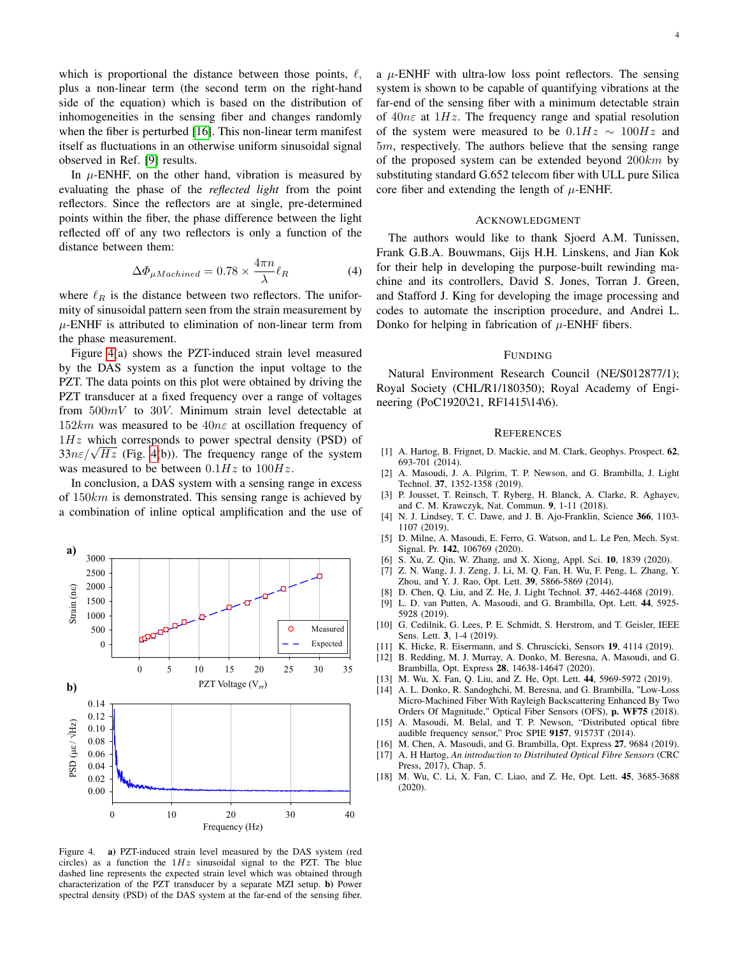which is proportional the distance between those points,  $\ell$ , plus a non-linear term (the second term on the right-hand side of the equation) which is based on the distribution of inhomogeneities in the sensing fiber and changes randomly when the fiber is perturbed [\[16\]](#page-3-15). This non-linear term manifest itself as fluctuations in an otherwise uniform sinusoidal signal observed in Ref. [\[9\]](#page-3-8) results.

In  $\mu$ -ENHF, on the other hand, vibration is measured by evaluating the phase of the *reflected light* from the point reflectors. Since the reflectors are at single, pre-determined points within the fiber, the phase difference between the light reflected off of any two reflectors is only a function of the distance between them:

$$
\Delta\Phi_{\mu Machined} = 0.78 \times \frac{4\pi n}{\lambda} \ell_R \tag{4}
$$

where  $\ell_R$  is the distance between two reflectors. The uniformity of sinusoidal pattern seen from the strain measurement by  $\mu$ -ENHF is attributed to elimination of non-linear term from the phase measurement.

Figure [4\(](#page-3-18)a) shows the PZT-induced strain level measured by the DAS system as a function the input voltage to the PZT. The data points on this plot were obtained by driving the PZT transducer at a fixed frequency over a range of voltages from  $500mV$  to  $30V$ . Minimum strain level detectable at  $152km$  was measured to be  $40n\varepsilon$  at oscillation frequency of  $1Hz$  which corresponds to power spectral density (PSD) of  $1Hz$  which corresponds to power spectral density (PSD) or  $33n\varepsilon/\sqrt{Hz}$  (Fig. [4\(](#page-3-18)b)). The frequency range of the system was measured to be between  $0.1Hz$  to  $100Hz$ .

In conclusion, a DAS system with a sensing range in excess of  $150km$  is demonstrated. This sensing range is achieved by a combination of inline optical amplification and the use of



<span id="page-3-18"></span>Figure 4. a) PZT-induced strain level measured by the DAS system (red circles) as a function the  $1Hz$  sinusoidal signal to the PZT. The blue dashed line represents the expected strain level which was obtained through characterization of the PZT transducer by a separate MZI setup. b) Power spectral density (PSD) of the DAS system at the far-end of the sensing fiber.

a  $\mu$ -ENHF with ultra-low loss point reflectors. The sensing system is shown to be capable of quantifying vibrations at the far-end of the sensing fiber with a minimum detectable strain of  $40n\epsilon$  at  $1Hz$ . The frequency range and spatial resolution of the system were measured to be  $0.1Hz \sim 100Hz$  and 5m, respectively. The authors believe that the sensing range of the proposed system can be extended beyond  $200km$  by substituting standard G.652 telecom fiber with ULL pure Silica core fiber and extending the length of  $\mu$ -ENHF.

### ACKNOWLEDGMENT

The authors would like to thank Sjoerd A.M. Tunissen, Frank G.B.A. Bouwmans, Gijs H.H. Linskens, and Jian Kok for their help in developing the purpose-built rewinding machine and its controllers, David S. Jones, Torran J. Green, and Stafford J. King for developing the image processing and codes to automate the inscription procedure, and Andrei L. Donko for helping in fabrication of  $\mu$ -ENHF fibers.

#### FUNDING

Natural Environment Research Council (NE/S012877/1); Royal Society (CHL/R1/180350); Royal Academy of Engineering (PoC1920\21, RF1415\14\6).

#### **REFERENCES**

- <span id="page-3-0"></span>[1] A. Hartog, B. Frignet, D. Mackie, and M. Clark, Geophys. Prospect. 62, 693-701 (2014).
- <span id="page-3-1"></span>[2] A. Masoudi, J. A. Pilgrim, T. P. Newson, and G. Brambilla, J. Light Technol. 37, 1352-1358 (2019).
- <span id="page-3-2"></span>[3] P. Jousset, T. Reinsch, T. Ryberg, H. Blanck, A. Clarke, R. Aghayev, and C. M. Krawczyk, Nat. Commun. 9, 1-11 (2018).
- <span id="page-3-3"></span>[4] N. J. Lindsey, T. C. Dawe, and J. B. Ajo-Franklin, Science 366, 1103-1107 (2019).
- <span id="page-3-4"></span>[5] D. Milne, A. Masoudi, E. Ferro, G. Watson, and L. Le Pen, Mech. Syst. Signal. Pr. 142, 106769 (2020).
- <span id="page-3-5"></span>[6] S. Xu, Z. Qin, W. Zhang, and X. Xiong, Appl. Sci. 10, 1839 (2020).
- <span id="page-3-6"></span>[7] Z. N. Wang, J. J. Zeng, J. Li, M. Q. Fan, H. Wu, F. Peng, L. Zhang, Y. Zhou, and Y. J. Rao, Opt. Lett. 39, 5866-5869 (2014).
- <span id="page-3-7"></span>[8] D. Chen, Q. Liu, and Z. He, J. Light Technol. 37, 4462-4468 (2019).
- <span id="page-3-8"></span>[9] L. D. van Putten, A. Masoudi, and G. Brambilla, Opt. Lett. 44, 5925- 5928 (2019).
- <span id="page-3-9"></span>[10] G. Cedilnik, G. Lees, P. E. Schmidt, S. Herstrom, and T. Geisler, IEEE Sens. Lett. 3, 1-4 (2019).
- <span id="page-3-10"></span>[11] K. Hicke, R. Eisermann, and S. Chruscicki, Sensors 19, 4114 (2019).
- <span id="page-3-12"></span>[12] B. Redding, M. J. Murray, A. Donko, M. Beresna, A. Masoudi, and G. Brambilla, Opt. Express 28, 14638-14647 (2020).
- <span id="page-3-13"></span>[13] M. Wu, X. Fan, Q. Liu, and Z. He, Opt. Lett. 44, 5969-5972 (2019).
- <span id="page-3-11"></span>[14] A. L. Donko, R. Sandoghchi, M. Beresna, and G. Brambilla, "Low-Loss Micro-Machined Fiber With Rayleigh Backscattering Enhanced By Two Orders Of Magnitude," Optical Fiber Sensors (OFS), p. WF75 (2018).
- <span id="page-3-14"></span>[15] A. Masoudi, M. Belal, and T. P. Newson, "Distributed optical fibre audible frequency sensor," Proc SPIE 9157, 91573T (2014).
- <span id="page-3-15"></span>[16] M. Chen, A. Masoudi, and G. Brambilla, Opt. Express 27, 9684 (2019).
- <span id="page-3-16"></span>[17] A. H Hartog, *An introduction to Distributed Optical Fibre Sensors* (CRC Press, 2017), Chap. 5.
- <span id="page-3-17"></span>[18] M. Wu, C. Li, X. Fan, C. Liao, and Z. He, Opt. Lett. 45, 3685-3688 (2020).